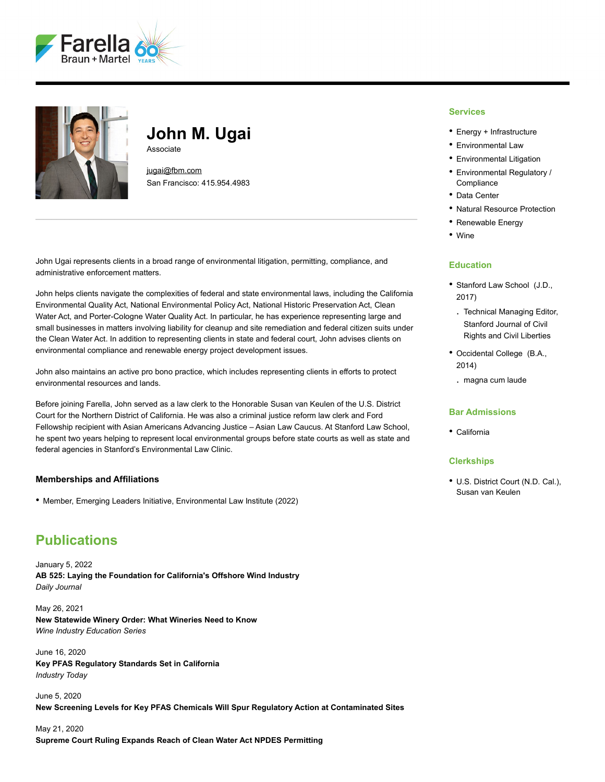



## **John M. Ugai** Associate

[jugai@fbm.com](mailto:jugai@fbm.com) San Francisco: 415.954.4983

John Ugai represents clients in a broad range of environmental litigation, permitting, compliance, and administrative enforcement matters.

John helps clients navigate the complexities of federal and state environmental laws, including the California Environmental Quality Act, National Environmental Policy Act, National Historic Preservation Act, Clean Water Act, and Porter-Cologne Water Quality Act. In particular, he has experience representing large and small businesses in matters involving liability for cleanup and site remediation and federal citizen suits under the Clean Water Act. In addition to representing clients in state and federal court, John advises clients on environmental compliance and renewable energy project development issues.

John also maintains an active pro bono practice, which includes representing clients in efforts to protect environmental resources and lands.

Before joining Farella, John served as a law clerk to the Honorable Susan van Keulen of the U.S. District Court for the Northern District of California. He was also a criminal justice reform law clerk and Ford Fellowship recipient with Asian Americans Advancing Justice – Asian Law Caucus. At Stanford Law School, he spent two years helping to represent local environmental groups before state courts as well as state and federal agencies in Stanford's Environmental Law Clinic.

### **Memberships and Affiliations**

• Member, Emerging Leaders Initiative, Environmental Law Institute (2022)

## **Publications**

January 5, 2022 **AB 525: Laying the Foundation for California's Offshore Wind Industry** *Daily Journal*

May 26, 2021 **New Statewide Winery Order: What Wineries Need to Know** *Wine Industry Education Series*

June 16, 2020 **Key PFAS Regulatory Standards Set in California** *Industry Today*

June 5, 2020 **New Screening Levels for Key PFAS Chemicals Will Spur Regulatory Action at Contaminated Sites**

May 21, 2020 **Supreme Court Ruling Expands Reach of Clean Water Act NPDES Permitting**

#### **Services**

- Energy + Infrastructure
- Environmental Law
- Environmental Litigation
- Environmental Regulatory / **Compliance**
- Data Center
- Natural Resource Protection
- Renewable Energy
- Wine

#### **Education**

- Stanford Law School (J.D., 2017)
- . Technical Managing Editor, Stanford Journal of Civil Rights and Civil Liberties
- Occidental College (B.A., 2014)
	- . magna cum laude

### **Bar Admissions**

• California

#### **Clerkships**

• U.S. District Court (N.D. Cal.), Susan van Keulen